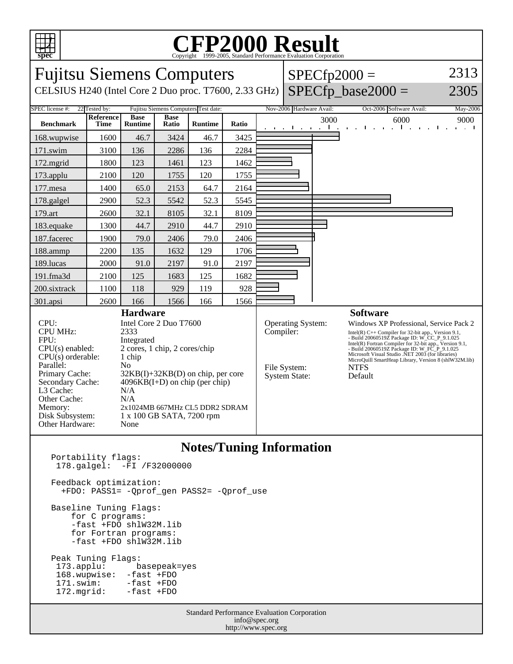

178.galgel: -FI /F32000000

 -fast +FDO shlW32M.lib for Fortran programs: -fast +FDO shlW32M.lib

 173.applu: basepeak=yes 168.wupwise: -fast +FDO<br>171.swim: -fast +FDO

-fast +FDO<br>-fast +FDO

+FDO: PASS1= -Qprof\_gen PASS2= -Qprof\_use

Feedback optimization:

Baseline Tuning Flags: for C programs:

Peak Tuning Flags:

 $172.mgrid:$ 

## C<sub>opyright</sub> ©1999-2005, Standard Performance Evaluation Corporation

| <b>Fujitsu Siemens Computers</b>                                                                                |                                |                               |                      |                |           |                                 |                          |                                                                                                                                                                               | $SPECfp2000 =$                                    | 2313                |  |
|-----------------------------------------------------------------------------------------------------------------|--------------------------------|-------------------------------|----------------------|----------------|-----------|---------------------------------|--------------------------|-------------------------------------------------------------------------------------------------------------------------------------------------------------------------------|---------------------------------------------------|---------------------|--|
| CELSIUS H240 (Intel Core 2 Duo proc. T7600, 2.33 GHz)                                                           |                                |                               |                      |                |           |                                 |                          |                                                                                                                                                                               | $SPECfp\_base2000 =$                              | 2305                |  |
| SPEC license #:<br>22 Tested by:<br>Fujitsu Siemens Computers Test date:                                        |                                |                               |                      |                |           |                                 | Nov-2006 Hardware Avail: |                                                                                                                                                                               | Oct-2006 Software Avail:                          | May-2006            |  |
| <b>Benchmark</b>                                                                                                | Reference<br>Time              | <b>Base</b><br><b>Runtime</b> | <b>Base</b><br>Ratio | <b>Runtime</b> | Ratio     |                                 | the contract of the con- | 3000<br>$\mathbf{L}$                                                                                                                                                          | 6000<br>$\blacksquare$<br>$\mathbf{r}$            | 9000<br>and a state |  |
| 168.wupwise                                                                                                     | 1600                           | 46.7                          | 3424                 | 46.7           | 3425      |                                 |                          |                                                                                                                                                                               |                                                   |                     |  |
| 171.swim                                                                                                        | 3100                           | 136                           | 2286                 | 136            | 2284      |                                 |                          |                                                                                                                                                                               |                                                   |                     |  |
| 172.mgrid                                                                                                       | 1800                           | 123                           | 1461                 | 123            | 1462      |                                 |                          |                                                                                                                                                                               |                                                   |                     |  |
| 173.applu                                                                                                       | 2100                           | 120                           | 1755                 | 120            | 1755      |                                 |                          |                                                                                                                                                                               |                                                   |                     |  |
| 177.mesa                                                                                                        | 1400                           | 65.0                          | 2153                 | 64.7           | 2164      |                                 |                          |                                                                                                                                                                               |                                                   |                     |  |
| 178.galgel                                                                                                      | 2900                           | 52.3                          | 5542                 | 52.3           | 5545      |                                 |                          |                                                                                                                                                                               |                                                   |                     |  |
| 179.art                                                                                                         | 2600                           | 32.1                          | 8105                 | 32.1           | 8109      |                                 |                          |                                                                                                                                                                               |                                                   |                     |  |
| 183.equake                                                                                                      | 1300                           | 44.7                          | 2910                 | 44.7           | 2910      |                                 |                          |                                                                                                                                                                               |                                                   |                     |  |
| 187.facerec                                                                                                     | 1900                           | 79.0                          | 2406                 | 79.0           | 2406      |                                 |                          |                                                                                                                                                                               |                                                   |                     |  |
| 188.ammp                                                                                                        | 2200                           | 135                           | 1632                 | 129            | 1706      |                                 |                          |                                                                                                                                                                               |                                                   |                     |  |
| 189.lucas                                                                                                       | 2000                           | 91.0                          | 2197                 | 91.0           | 2197      |                                 |                          |                                                                                                                                                                               |                                                   |                     |  |
| 191.fma3d                                                                                                       | 2100                           | 125                           | 1683                 | 125            | 1682      |                                 |                          |                                                                                                                                                                               |                                                   |                     |  |
| 200.sixtrack                                                                                                    | 1100                           | 118                           | 929                  | 119            | 928       |                                 |                          |                                                                                                                                                                               |                                                   |                     |  |
| 301.apsi                                                                                                        | 2600                           | 166                           | 1566                 | 166            | 1566      |                                 |                          |                                                                                                                                                                               |                                                   |                     |  |
| <b>Hardware</b>                                                                                                 |                                |                               |                      |                |           | <b>Software</b>                 |                          |                                                                                                                                                                               |                                                   |                     |  |
|                                                                                                                 | CPU:<br>Intel Core 2 Duo T7600 |                               |                      |                |           | <b>Operating System:</b>        |                          |                                                                                                                                                                               | Windows XP Professional, Service Pack 2           |                     |  |
| <b>CPU MHz:</b><br>2333                                                                                         |                                |                               |                      |                | Compiler: |                                 |                          | $\label{thm:2} \begin{array}{l} \mbox{Intel(R) C++} \mbox{Complier for 32-bit app., Version 9.1,}\\ \mbox{Build 20060519Z} \mbox{ Package ID: W\_CC\_P\_9.1.025} \end{array}$ |                                                   |                     |  |
| FPU:<br>Integrated<br>2 cores, 1 chip, 2 cores/chip                                                             |                                |                               |                      |                |           |                                 |                          | Intel(R) Fortran Compiler for 32-bit app., Version 9.1,<br>- Build 20060519Z Package ID: W_FC_P_9.1.025                                                                       |                                                   |                     |  |
| $CPU(s)$ enabled:                                                                                               |                                |                               |                      |                |           |                                 |                          |                                                                                                                                                                               | Microsoft Visual Studio .NET 2003 (for libraries) |                     |  |
| CPU(s) orderable:<br>1 chip                                                                                     |                                |                               |                      |                |           |                                 |                          | MicroQuill SmartHeap Library, Version 8 (shlW32M.lib)                                                                                                                         |                                                   |                     |  |
| Parallel:<br>No                                                                                                 |                                |                               |                      |                |           | File System:                    |                          |                                                                                                                                                                               | <b>NTFS</b>                                       |                     |  |
| Primary Cache:<br>$32KB(I) + 32KB(D)$ on chip, per core<br>Secondary Cache:<br>$4096KB(I+D)$ on chip (per chip) |                                |                               |                      |                |           | <b>System State:</b><br>Default |                          |                                                                                                                                                                               |                                                   |                     |  |
| L3 Cache:<br>N/A                                                                                                |                                |                               |                      |                |           |                                 |                          |                                                                                                                                                                               |                                                   |                     |  |
| Other Cache:<br>N/A                                                                                             |                                |                               |                      |                |           |                                 |                          |                                                                                                                                                                               |                                                   |                     |  |
| Memory:<br>2x1024MB 667MHz CL5 DDR2 SDRAM                                                                       |                                |                               |                      |                |           |                                 |                          |                                                                                                                                                                               |                                                   |                     |  |
| Disk Subsystem:<br>1 x 100 GB SATA, 7200 rpm                                                                    |                                |                               |                      |                |           |                                 |                          |                                                                                                                                                                               |                                                   |                     |  |
| Other Hardware:<br>None                                                                                         |                                |                               |                      |                |           |                                 |                          |                                                                                                                                                                               |                                                   |                     |  |
|                                                                                                                 |                                |                               |                      |                |           |                                 |                          |                                                                                                                                                                               |                                                   |                     |  |
| <b>Notes/Tuning Information</b><br>Portability flags:                                                           |                                |                               |                      |                |           |                                 |                          |                                                                                                                                                                               |                                                   |                     |  |
|                                                                                                                 |                                |                               |                      |                |           |                                 |                          |                                                                                                                                                                               |                                                   |                     |  |

Standard Performance Evaluation Corporation info@spec.org http://www.spec.org